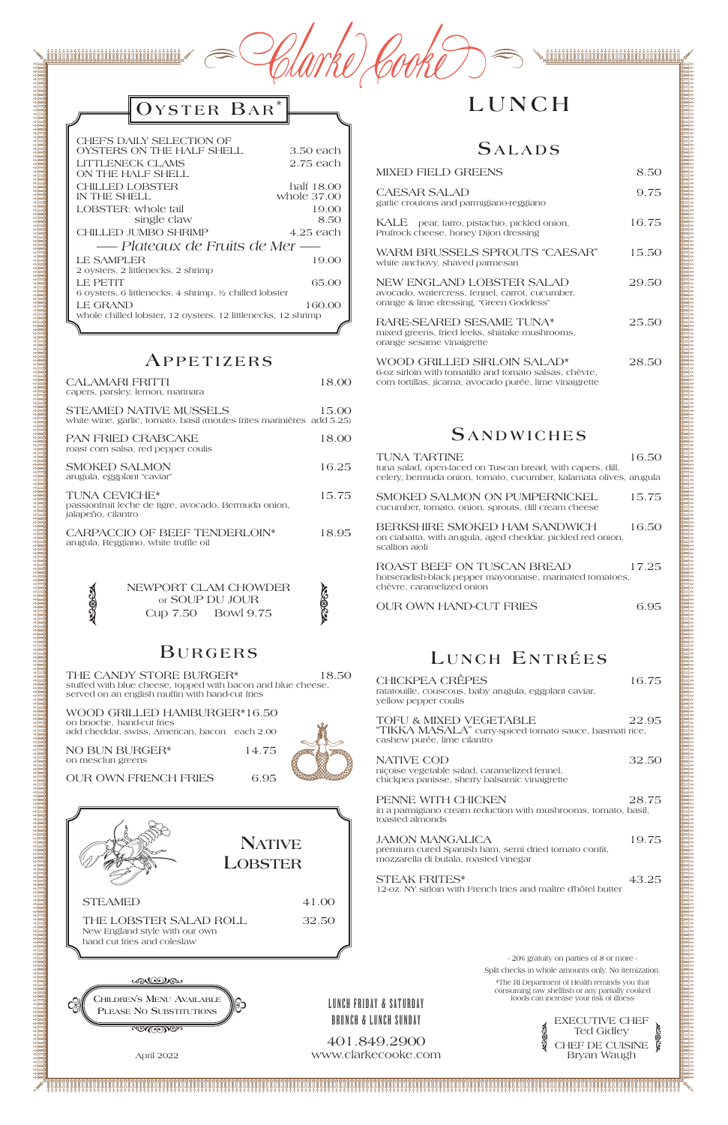ກໍ່ດີ້ເນີ້ນໃນໄດ້ເນີ້ນໃນໄດ້ໃນໄດ້ເນີ້ນໃນໄດ້ເນີ້ນໃນໄດ້ເນີ້ນໃນໄດ້ໃນໄດ້ໃນໄດ້ເນີ້ນໃນໄດ້ໃນໄດ້ເນີ້ນໃນ

수 있습니다. 그 지수는 이 사람들은 이 사람들은 이 사람들은 이 사람들은 이 사람들은 이 사람들은 이 사람들은 이 사람들은 이 사람들은 이 사람들은 이 사람들은 사람들을 사라 가지 않는다. 그 사람들은 이 사람들은 이 사람들은 이 사람들은 이 사람들은 이 사람들은 이 사람들은 이 사람들은 이 사람들은 이 사람들은 이 사람들은 이 사람들은 이 사람들은 이 사람들은 이 사람들은 이 사람들의 사람

| Clarke Cooke<br>$\blacktriangle$ |
|----------------------------------|
|                                  |

## $O$  YSTER  $B$ AR<sup>\*</sup>

### **B u r g e r s**

THE CANDY STORE BURGER\* 18.50 stuffed with blue cheese, topped with bacon and blue cheese, served on an english muffin with hand-cut fries

NO BUN BURGER\* 14.75 on mesclun greens

WOOD GRILLED HAMBURGER\*16.50

on brioche, hand-cut fries add cheddar, swiss, American, bacon each 2.00



 $\mathbb{Q}$ 

## **LUNCH**

### $S$ *ALADS*

### **Ap p e t i z e r s**

| CALAMARI FRITTI<br>capers, parsley, lemon, marinara                                                    | 18.00 |
|--------------------------------------------------------------------------------------------------------|-------|
| <b>STEAMED NATIVE MUSSELS</b><br>white wine, garlic, tomato, basil (moules frites marinières add 5.25) | 15.00 |
| <b>PAN FRIED CRABCAKE</b><br>roast corn salsa, red pepper coulis                                       | 18.00 |
| <b>SMOKED SALMON</b><br>arugula, eggplant "caviar"                                                     | 16.25 |
| <b>TUNA CEVICHE*</b><br>passionfruit leche de tigre, avocado, Bermuda onion,<br>jalapeño, cilantro     | 15.75 |
| CARPACCIO OF BEEF TENDERLOIN*<br>arugula, Reggiano, white truffle oil                                  | 18.95 |
| NEWPORT CLAM CHOWDER<br>or SOUP DU JOUR<br>Cup 7.50 Bowl 9.75                                          | 13867 |
|                                                                                                        |       |

| <b>MIXED FIELD GREENS</b>                                                                                              | 8.50  |
|------------------------------------------------------------------------------------------------------------------------|-------|
| <b>CAESAR SALAD</b><br>garlic croutons and parmigiano-reggiano                                                         | 9.75  |
| KALE pear, farro, pistachio, pickled onion,<br>Prufrock cheese, honey Dijon dressing                                   | 16.75 |
| WARM BRUSSELS SPROUTS "CAESAR"<br>white anchovy, shaved parmesan                                                       | 15.50 |
| NEW ENGLAND LOBSTER SALAD<br>avocado, watercress, fennel, carrot, cucumber,<br>orange & lime dressing, "Green Goddess" | 29.50 |
| RARE-SEARED SESAME TUNA*<br>mixed greens, fried leeks, shiitake mushrooms,<br>orange sesame vinaigrette                | 25.50 |
|                                                                                                                        | 20 EU |

WOOD GRILLED SIRLOIN SALAD\* 28.50 6-oz sirloin with tomatillo and tomato salsas, chèvre, corn tortillas, jícama, avocado purée, lime vinaigrette

### $S$  **ANDWICHES**

| CHICKPEA CRÊPES<br>ratatouille, couscous, baby arugula, eggplant caviar,<br>vellow pepper coulis                 | 16.75 |
|------------------------------------------------------------------------------------------------------------------|-------|
| TOFU & MIXED VEGETABLE<br>"TIKKA MASALA" curry-spiced tomato sauce, basmati rice,<br>cashew purée, lime cilantro | 22.95 |
| NATIVE COD<br>niçoise vegetable salad, caramelized fennel,<br>chickpea panisse, sherry balsamic vinaigrette      | 32.50 |
| PENNE WITH CHICKEN                                                                                               | 28.75 |

in a parmigiano cream reduction with mushrooms, tomato, basil, toasted almonds

| <b>TUNA TARTINE</b><br>tuna salad, open-faced on Tuscan bread, with capers, dill,<br>celery, bermuda onion, tomato, cucumber, kalamata olives, arugula | 16.50 |
|--------------------------------------------------------------------------------------------------------------------------------------------------------|-------|
| SMOKED SALMON ON PUMPERNICKEL<br>cucumber, tomato, onion, sprouts, dill cream cheese                                                                   | 15.75 |
| BERKSHIRE SMOKED HAM SANDWICH<br>on ciabatta, with arugula, aged cheddar, pickled red onion,<br>scallion aioli                                         | 16.50 |
| ROAST BEEF ON TUSCAN BREAD<br>horseradish-black pepper mayonnaise, marinated tomatoes,<br>chèvre, caramelized onion                                    | 17.25 |
| <b>OUR OWN HAND-CUT FRIES</b>                                                                                                                          | 6.95  |
|                                                                                                                                                        |       |

## LUNCH ENTRÉES



| CHEF'S DAILY SELECTION OF                                    |             |
|--------------------------------------------------------------|-------------|
| OYSTERS ON THE HALF SHELL                                    | 3.50 each   |
| LITTLENECK CLAMS                                             | 2.75 each   |
| ON THE HALF SHELL                                            |             |
| <b>CHILLED LOBSTER</b>                                       | half 18.00  |
| IN THE SHELL                                                 | whole 37.00 |
| LOBSTER: whole tail                                          | 19.00       |
| single claw                                                  | 8.50        |
| <b>CHILLED JUMBO SHRIMP</b>                                  | 4.25 each   |
| — Plateaux de Fruits de Mer —                                |             |
| <b>LE SAMPLER</b>                                            | 19.00       |
| 2 ovsters, 2 littlenecks, 2 shrimp                           |             |
| LE PETIT                                                     | 65.00       |
| 6 oysters, 6 littlenecks, 4 shrimp, ½ chilled lobster        |             |
| LE GRAND                                                     | 160.00      |
| whole chilled lobster, 12 oysters, 12 littlenecks, 12 shrimp |             |
|                                                              |             |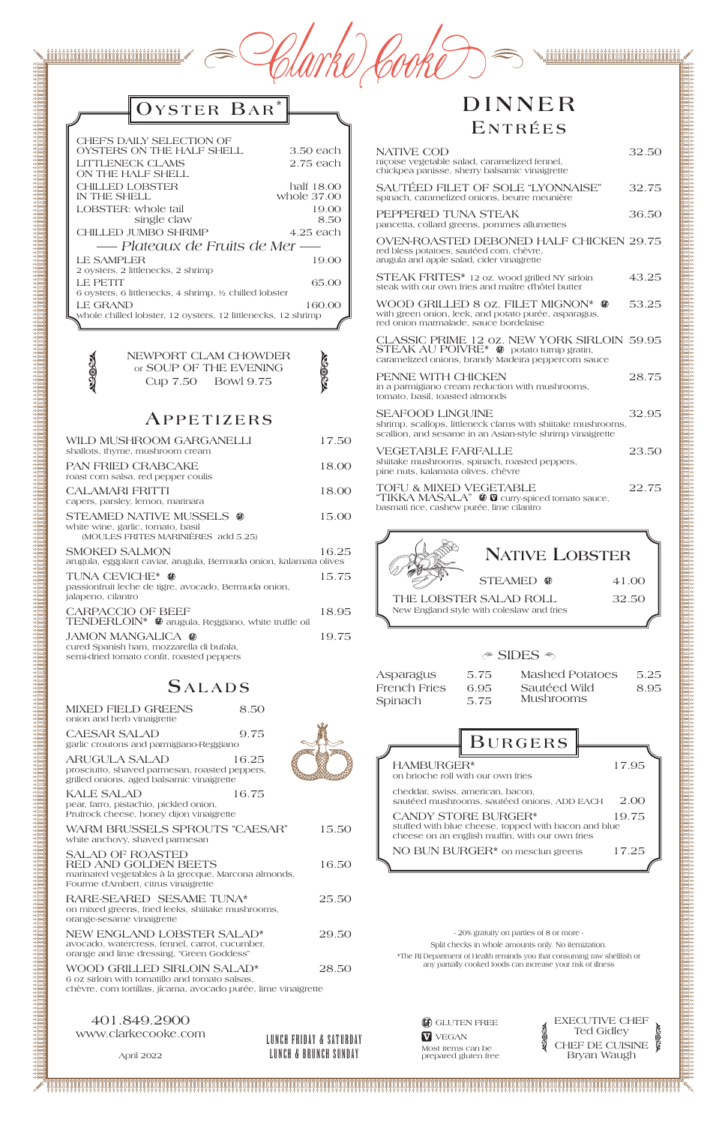። የአማት የሚያገኙ የሚያገኙ የሚያገኙ የሚያገኙ የሚያገኙ የሚያገኙ የሚያገኙ የሚያገኙ የሚያገኙ የሚያገኙ የሚያገኙ የሚያገኙ የሚያገኙ የሚያገኙ የሚያገኙ የሚያገኙ የሚያገኙ የሚያገኙ የሚያገኙ የሚያገኙ የሚያገኙ የሚያገኙ የሚያገኙ የሚያገኙ የሚያገኙ የሚያገኙ የሚያገኙ የሚያገኙ የሚያገኙ የሚያገኙ የሚያገኙ የሚያገኙ የሚያገኙ የሚያገኙ የሚያገኙ የሚያገኙ

| Clarke Cooke |  |
|--------------|--|
|--------------|--|

## $O$ **YSTER BAR**\*

### **B u r g e r s** HAMBURGER\* 17.95 on brioche roll with our own fries cheddar, swiss, american, bacon, sautéed mushrooms, sautéed onions, ADD EACH 2.00

CANDY STORE BURGER\* 19.75 neese, topped with bacon and blue

| CHEF'S DAILY SELECTION OF                                    |             |
|--------------------------------------------------------------|-------------|
| OYSTERS ON THE HALF SHELL                                    | 3.50 each   |
| LITTLENECK CLAMS                                             | 2.75 each   |
| ON THE HALF SHELL                                            |             |
| <b>CHILLED LOBSTER</b>                                       | half 18.00  |
| IN THE SHELL                                                 | whole 37.00 |
| LOBSTER: whole tail                                          | 19.00       |
| single claw                                                  | 8.50        |
| <b>CHILLED JUMBO SHRIMP</b>                                  | 4.25 each   |
| — Plateaux de Fruits de Mer —                                |             |
| LE SAMPLER                                                   | 19.00       |
| 2 oysters, 2 littlenecks, 2 shrimp                           |             |
| <b>LE PETIT</b>                                              | 65.00       |
| 6 ovsters, 6 littlenecks, 4 shrimp, ½ chilled lobster        |             |
| <b>LE GRAND</b>                                              | 160.00      |
| whole chilled lobster, 12 oysters, 12 littlenecks, 12 shrimp |             |
|                                                              |             |

NEWPORT CLAM CHOWDER<br>
or SOUP OF THE EVENING<br>
Q Cup 7.50 Bowl 9.75

CAESAR SALAD 9.75 garlic croutons and parmigiano-Reggiano

ARUGULA SALAD 16.25 prosciutto, shaved parmesan, roasted peppers, grilled onions, aged balsamic vinaigrette

#### **Ap p e t i z e r s**

KALE SALAD 16.75 pear, farro, pistachio, pickled onion, Prufrock cheese, honey dijon vinaigrette

| WILD MUSHROOM GARGANELLI<br>shallots, thyme, mushroom cream                                                       | 17.50 |
|-------------------------------------------------------------------------------------------------------------------|-------|
| <b>PAN FRIED CRABCAKE</b><br>roast corn salsa, red pepper coulis                                                  | 18.00 |
| CALAMARI FRITTI<br>capers, parsley, lemon, marinara                                                               | 18.00 |
| <b>STEAMED NATIVE MUSSELS @</b><br>white wine, garlic, tomato, basil<br>(MOULES FRITES MARINIÈRES add 5.25)       | 15.00 |
| <b>SMOKED SALMON</b><br>arugula, eggplant caviar, arugula, Bermuda onion, kalamata olives                         | 16.25 |
| TUNA CEVICHE* @<br>passionfruit leche de tigre, avocado, Bermuda onion,<br>jalapeno, cilantro                     | 15.75 |
| <b>CARPACCIO OF BEEF</b><br>TENDERLOIN* <sup>@</sup> arugula, Reggiano, white truffle oil                         | 18.95 |
| <b>JAMON MANGALICA @</b><br>cured Spanish ham, mozzarella di bufala,<br>semi-dried tomato confit, roasted peppers | 19.75 |
| <b>SALADS</b>                                                                                                     |       |

| MIXED FIELD GREENS         | 8.50 |
|----------------------------|------|
| onion and herb vinaigrette |      |

## **DINNER E n t r é e s**

| WARM BRUSSELS SPROUTS "CAESAR"<br>white anchovy, shaved parmesan                                                                                 | 15.50 | stuffed with blue c<br>cheese on an engl        |
|--------------------------------------------------------------------------------------------------------------------------------------------------|-------|-------------------------------------------------|
| <b>SALAD OF ROASTED</b><br>RED AND GOLDEN BEETS<br>marinated vegetables à la grecque, Marcona almonds,<br>Fourme d'Ambert, citrus vinaigrette    | 16.50 | NO BUN BUR                                      |
| RARE-SEARED SESAME TUNA*<br>on mixed greens, fried leeks, shiitake mushrooms,<br>orange-sesame vinaigrette                                       | 25.50 |                                                 |
| NEW ENGLAND LOBSTER SALAD*<br>avocado, watercress, fennel, carrot, cucumber,<br>orange and lime dressing, "Green Goddess"                        | 29.50 | $-20%$<br>Split checks<br>*The RI Department of |
| WOOD GRILLED SIRLOIN SALAD*<br>6 oz sirloin with tomatillo and tomato salsas,<br>chèvre, corn tortillas, jícama, avocado purée, lime vinaigrette | 28.50 | any partially co                                |

lish muffin, with our own fries  $GER*$  on mesclun greens  $17.25$ GE GLUTEN FREE **V** VEGAN Most items can be EXECUTIVE CHEF Ted Gidley CHEF DE CUISINE **ASSESS ASSEA** gratuity on parties of 8 or more in whole amounts only. No itemization. Health reminds you that consuming raw shellfish or poked foods can increase your risk of illness

| NATIVE COD<br>niçoise vegetable salad, caramelized fennel,<br>chickpea panisse, sherry balsamic vinaigrette                                                                              | 32.50 |
|------------------------------------------------------------------------------------------------------------------------------------------------------------------------------------------|-------|
| SAUTÉED FILET OF SOLE "LYONNAISE"<br>spinach, caramelized onions, beurre meunière                                                                                                        | 32.75 |
| PEPPERED TUNA STEAK<br>pancetta, collard greens, pommes allumettes                                                                                                                       | 36.50 |
| OVEN-ROASTED DEBONED HALF CHICKEN 29.75<br>red bless potatoes, sautéed corn, chèvre,<br>arugula and apple salad, cider vinaigrette                                                       |       |
| STEAK FRITES* 12 oz. wood grilled NY sirloin<br>steak with our own fries and maître d'hôtel butter                                                                                       | 43.25 |
| WOOD GRILLED 8 oz. FILET MIGNON* @<br>with green onion, leek, and potato purée, asparagus,<br>red onion marmalade, sauce bordelaise                                                      | 53.25 |
| CLASSIC PRIME 12 oz. NEW YORK SIRLOIN 59.95<br><b>STEAK AU POIVRE</b> <sup>*</sup> $\mathbf{\mathbf{\Phi}}$ potato turnip gratin,<br>caramelized onions, brandy Madeira peppercorn sauce |       |
| PENNE WITH CHICKEN<br>in a parmigiano cream reduction with mushrooms,<br>tomato, basil, toasted almonds                                                                                  | 28.75 |
| <b>SEAFOOD LINGUINE</b><br>shrimp, scallops, littleneck clams with shiitake mushrooms,<br>scallion, and sesame in an Asian-style shrimp vinaigrette                                      | 32.95 |
| VEGETABLE FARFALLE<br>shiitake mushrooms, spinach, roasted peppers,<br>pine nuts, kalamata olives, chèvre                                                                                | 23.50 |
| <b>TOFU &amp; MIXED VEGETABLE</b><br>"TIKKA MASALA" $\bullet$ $\bullet$ curry-spiced tomato sauce,<br>basmati rice, cashew purée, lime cilantro                                          | 22.75 |



#### $\textcircled{\textcirc}$  SIDES  $\textcircled{\textcirc}$

| Asparagus    | 5.75 | Mashed Potatoes  | 5.25 |
|--------------|------|------------------|------|
| French Fries | 6.95 | Sautéed Wild     | 8.95 |
| Spinach      | 5.75 | <b>Mushrooms</b> |      |

401.849.2900 www.clarkecooke.com

April 2022

LUNCH FRIDAY & SATURDAY LUNCH & BRUNCH SUNDAY

prepared gluten free



Bryan Waugh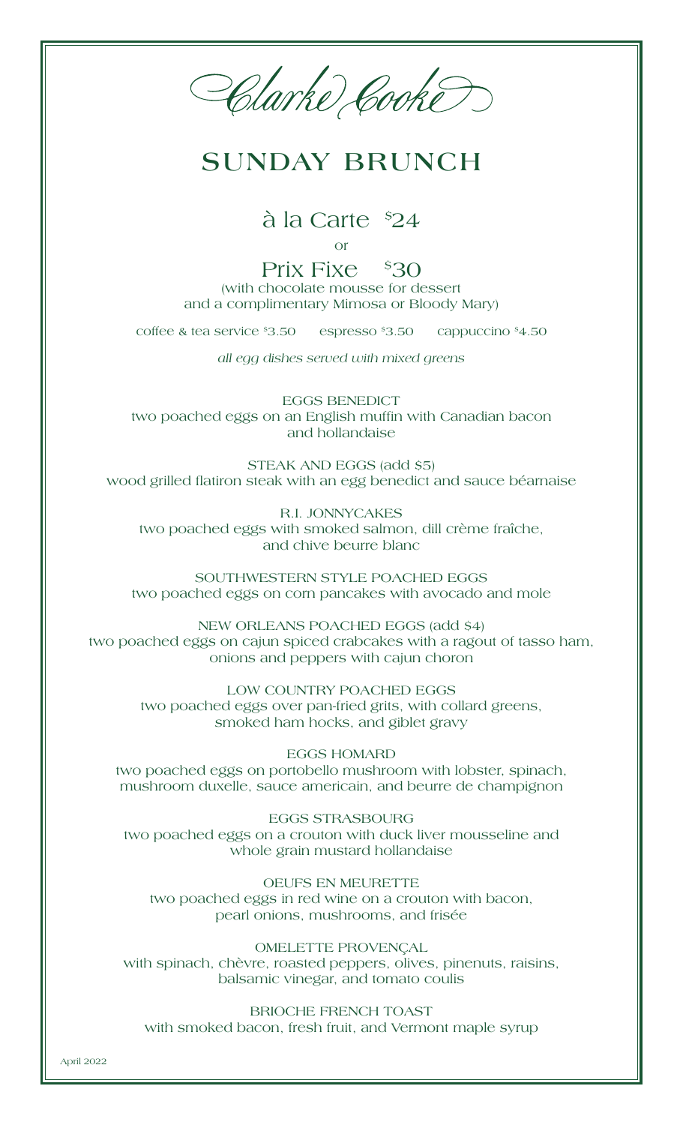Harke Cooke

## **SUNDAY BRUNCH**

à la Carte \$ 24

or

Prix Fixe \$30 (with chocolate mousse for dessert and a complimentary Mimosa or Bloody Mary)

coffee & tea service \$3.50 espresso \$3.50 cappuccino \$4.50

*all egg dishes served with mixed greens*

EGGS BENEDICT two poached eggs on an English muffin with Canadian bacon and hollandaise

STEAK AND EGGS (add \$5) wood grilled flatiron steak with an egg benedict and sauce béarnaise

R.I. JONNYCAKES two poached eggs with smoked salmon, dill crème fraîche, and chive beurre blanc

SOUTHWESTERN STYLE POACHED EGGS two poached eggs on corn pancakes with avocado and mole

NEW ORLEANS POACHED EGGS (add \$4) two poached eggs on cajun spiced crabcakes with a ragout of tasso ham, onions and peppers with cajun choron

LOW COUNTRY POACHED EGGS two poached eggs over pan-fried grits, with collard greens, smoked ham hocks, and giblet gravy

EGGS HOMARD two poached eggs on portobello mushroom with lobster, spinach, mushroom duxelle, sauce americain, and beurre de champignon

EGGS STRASBOURG two poached eggs on a crouton with duck liver mousseline and whole grain mustard hollandaise

OEUFS EN MEURETTE two poached eggs in red wine on a crouton with bacon, pearl onions, mushrooms, and frisée

OMELETTE PROVENÇAL with spinach, chèvre, roasted peppers, olives, pinenuts, raisins, balsamic vinegar, and tomato coulis

BRIOCHE FRENCH TOAST with smoked bacon, fresh fruit, and Vermont maple syrup

April 2022